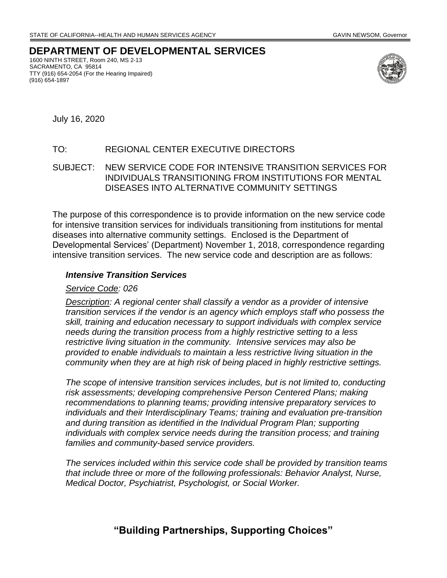# **DEPARTMENT OF DEVELOPMENTAL SERVICES**

1600 NINTH STREET, Room 240, MS 2-13 SACRAMENTO, CA 95814 TTY (916) 654-2054 (For the Hearing Impaired) (916) 654-1897



July 16, 2020

### TO: REGIONAL CENTER EXECUTIVE DIRECTORS

### SUBJECT: NEW SERVICE CODE FOR INTENSIVE TRANSITION SERVICES FOR INDIVIDUALS TRANSITIONING FROM INSTITUTIONS FOR MENTAL DISEASES INTO ALTERNATIVE COMMUNITY SETTINGS

 intensive transition services. The new service code and description are as follows: The purpose of this correspondence is to provide information on the new service code for intensive transition services for individuals transitioning from institutions for mental diseases into alternative community settings. Enclosed is the Department of Developmental Services' (Department) November 1, 2018, correspondence regarding

### *Intensive Transition Services*

### *Service Code: 026*

*Description: A regional center shall classify a vendor as a provider of intensive transition services if the vendor is an agency which employs staff who possess the skill, training and education necessary to support individuals with complex service needs during the transition process from a highly restrictive setting to a less restrictive living situation in the community. Intensive services may also be provided to enable individuals to maintain a less restrictive living situation in the community when they are at high risk of being placed in highly restrictive settings.* 

*The scope of intensive transition services includes, but is not limited to, conducting risk assessments; developing comprehensive Person Centered Plans; making recommendations to planning teams; providing intensive preparatory services to individuals and their Interdisciplinary Teams; training and evaluation pre-transition*  and during transition as identified in the Individual Program Plan; supporting *individuals with complex service needs during the transition process; and training families and community-based service providers.* 

*The services included within this service code shall be provided by transition teams that include three or more of the following professionals: Behavior Analyst, Nurse, Medical Doctor, Psychiatrist, Psychologist, or Social Worker.* 

## **"Building Partnerships, Supporting Choices"**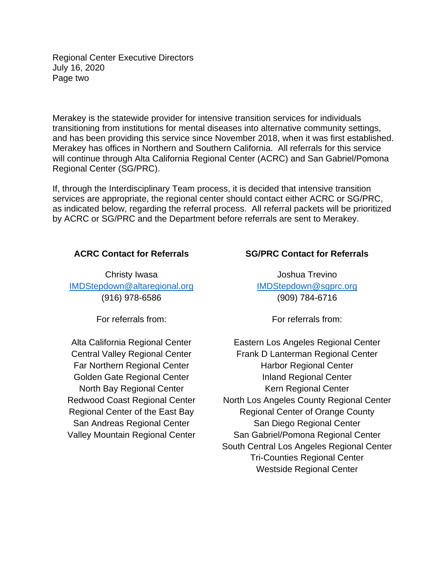Regional Center Executive Directors July 16, 2020 Page two

Merakey is the statewide provider for intensive transition services for individuals transitioning from institutions for mental diseases into alternative community settings, and has been providing this service since November 2018, when it was first established. Merakey has offices in Northern and Southern California. All referrals for this service will continue through Alta California Regional Center (ACRC) and San Gabriel/Pomona Regional Center (SG/PRC).

If, through the Interdisciplinary Team process, it is decided that intensive transition services are appropriate, the regional center should contact either ACRC or SG/PRC, as indicated below, regarding the referral process. All referral packets will be prioritized by ACRC or SG/PRC and the Department before referrals are sent to Merakey.

Christy Iwasa [IMDStepdown@altaregional.org](mailto:IMDStepdown@altaregional.org)  (916) 978-6586

For referrals from: For referrals from:

Alta California Regional Center Central Valley Regional Center Far Northern Regional Center Golden Gate Regional Center North Bay Regional Center Redwood Coast Regional Center Regional Center of the East Bay San Andreas Regional Center Valley Mountain Regional Center

### **ACRC Contact for Referrals SG/PRC Contact for Referrals**

Joshua Trevino [IMDStepdown@sgprc.org](mailto:IMDStepdown@sgprc.org)  (909) 784-6716

Eastern Los Angeles Regional Center Frank D Lanterman Regional Center Harbor Regional Center Inland Regional Center Kern Regional Center North Los Angeles County Regional Center Regional Center of Orange County San Diego Regional Center San Gabriel/Pomona Regional Center South Central Los Angeles Regional Center Tri-Counties Regional Center Westside Regional Center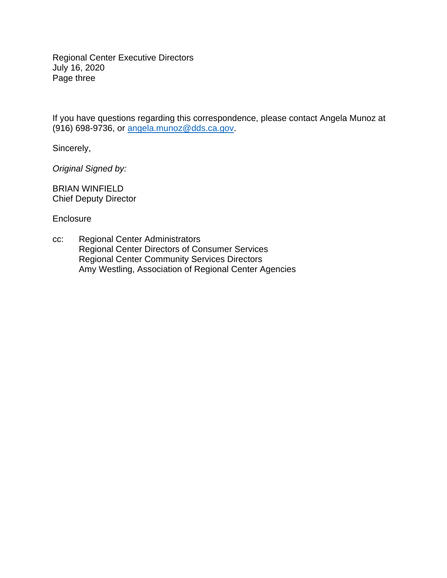Regional Center Executive Directors July 16, 2020 Page three

If you have questions regarding this correspondence, please contact Angela Munoz at (916) 698-9736, or [angela.munoz@dds.ca.gov.](mailto:angela.munoz@dds.ca.gov)

Sincerely,

*Original Signed by:* 

BRIAN WINFIELD Chief Deputy Director

**Enclosure** 

cc: Regional Center Administrators Regional Center Directors of Consumer Services Regional Center Community Services Directors Amy Westling, Association of Regional Center Agencies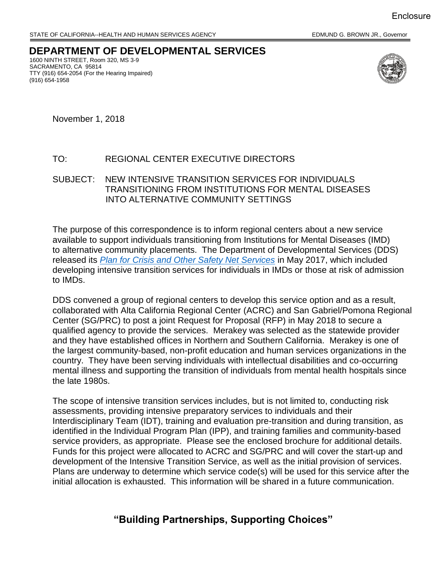### **DEPARTMENT OF DEVELOPMENTAL SERVICES**  TTY (916) 654-2054 (For the Hearing Impaired) 1600 NINTH STREET, Room 320, MS 3-9 SACRAMENTO, CA 95814 (916) 654-1958



November 1, 2018

### TO: REGIONAL CENTER EXECUTIVE DIRECTORS

SUBJECT: NEW INTENSIVE TRANSITION SERVICES FOR INDIVIDUALS TRANSITIONING FROM INSTITUTIONS FOR MENTAL DISEASES INTO ALTERNATIVE COMMUNITY SETTINGS

 to alternative community placements. The Department of Developmental Services (DDS) developing intensive transition services for individuals in IMDs or those at risk of admission The purpose of this correspondence is to inform regional centers about a new service available to support individuals transitioning from Institutions for Mental Diseases (IMD) released its *[Plan for Crisis and Other Safety Net Services](https://www.dds.ca.gov/SearchResults.cfm?q=plan+of+crisis+and+other&cx=014387117097002223280%3A4vokotshzqk&cof=FORID%3A10&ie=UTF-8)* in May 2017, which included to IMDs.

 collaborated with Alta California Regional Center (ACRC) and San Gabriel/Pomona Regional qualified agency to provide the services. Merakey was selected as the statewide provider the largest community-based, non-profit education and human services organizations in the the late 1980s. DDS convened a group of regional centers to develop this service option and as a result, Center (SG/PRC) to post a joint Request for Proposal (RFP) in May 2018 to secure a and they have established offices in Northern and Southern California. Merakey is one of country. They have been serving individuals with intellectual disabilities and co-occurring mental illness and supporting the transition of individuals from mental health hospitals since

 identified in the Individual Program Plan (IPP), and training families and community-based Funds for this project were allocated to ACRC and SG/PRC and will cover the start-up and The scope of intensive transition services includes, but is not limited to, conducting risk assessments, providing intensive preparatory services to individuals and their Interdisciplinary Team (IDT), training and evaluation pre-transition and during transition, as service providers, as appropriate. Please see the enclosed brochure for additional details. development of the Intensive Transition Service, as well as the initial provision of services. Plans are underway to determine which service code(s) will be used for this service after the initial allocation is exhausted. This information will be shared in a future communication.

# **"Building Partnerships, Supporting Choices"**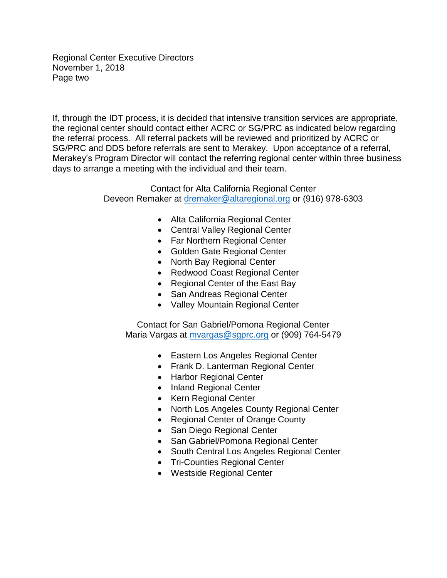Regional Center Executive Directors November 1, 2018 Page two

 SG/PRC and DDS before referrals are sent to Merakey. Upon acceptance of a referral, days to arrange a meeting with the individual and their team. If, through the IDT process, it is decided that intensive transition services are appropriate, the regional center should contact either ACRC or SG/PRC as indicated below regarding the referral process. All referral packets will be reviewed and prioritized by ACRC or Merakey's Program Director will contact the referring regional center within three business

> Contact for Alta California Regional Center Deveon Remaker at [dremaker@altaregional.org](mailto:dremaker@altaregional.org) or (916) 978-6303

- Alta California Regional Center
- Central Valley Regional Center
- Far Northern Regional Center
- Golden Gate Regional Center
- North Bay Regional Center
- Redwood Coast Regional Center
- Regional Center of the East Bay
- San Andreas Regional Center
- Valley Mountain Regional Center

Contact for San Gabriel/Pomona Regional Center Maria Vargas at [mvargas@sgprc.org](mailto:mvargas@sgprc.org) or (909) 764-5479

- Eastern Los Angeles Regional Center
- Frank D. Lanterman Regional Center
- Harbor Regional Center
- Inland Regional Center
- Kern Regional Center
- North Los Angeles County Regional Center
- Regional Center of Orange County
- San Diego Regional Center
- San Gabriel/Pomona Regional Center
- South Central Los Angeles Regional Center
- Tri-Counties Regional Center
- Westside Regional Center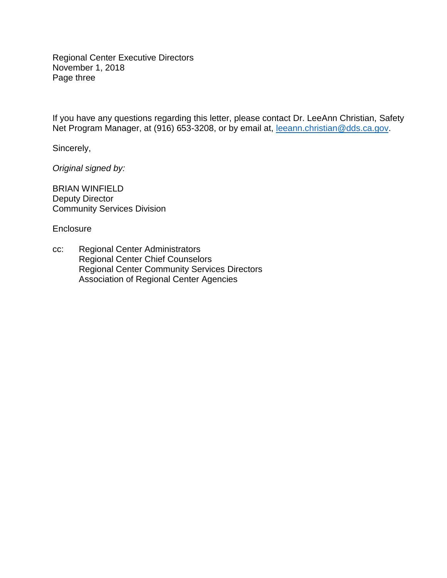Regional Center Executive Directors November 1, 2018 Page three

If you have any questions regarding this letter, please contact Dr. LeeAnn Christian, Safety Net Program Manager, at (916) 653-3208, or by email at, [leeann.christian@dds.ca.gov.](mailto:leeann.christian@dds.ca.gov)

Sincerely,

*Original signed by:* 

BRIAN WINFIELD Deputy Director Community Services Division

Enclosure

cc: Regional Center Administrators Regional Center Chief Counselors Regional Center Community Services Directors Association of Regional Center Agencies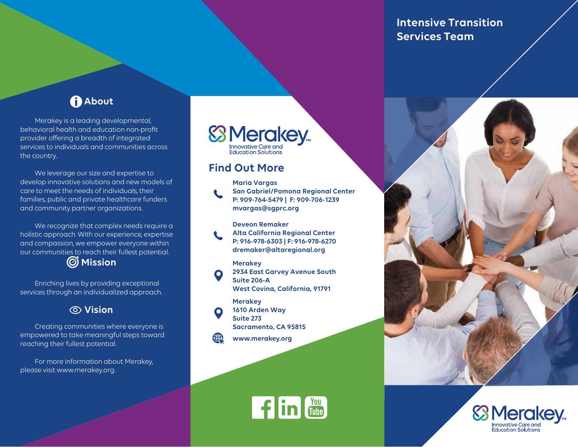**Intensive Transition Services Team** 

# **About**

Merakey is a leading developmental, behavioral health and education non-proft provider offering a breadth of integrated services to individuals and communities across the country.

We leverage our size and expertise to develop innovative solutions and new models of care to meet the needs of individuals, their families, public and private healthcare funders and community partner organizations.

We recognize that complex needs require a holistic approach. With our experience, expertise and compassion, we empower everyone within our communities to reach their fullest potential.

# **Mission**

Enriching lives by providing exceptional services through an individualized approach.

# **Vision**

Creating communities where everyone is empowered to take meaningful steps toward reaching their fullest potential.

For more information about Merakey, please visit www.merakey.org.



# **Find Out More**



**Maria Vargas San Gabriel/Pomona Regional Center P: 909-764-5479 | F: 909-706-1239 mvargas@sgprc.org** 

**Deveon Remaker** 

**Alta California Regional Center P: 916-978-6303 | F: 916-978-6270 dremaker@altaregional.org** 

### **Merakey**

**2934 East Garvey Avenue South Suite 206-A West Covina, California, 91791** 

### **Merakey**



**1610 Arden Way Suite 273 Sacramento, CA 95815** 

**www.merakey.org**